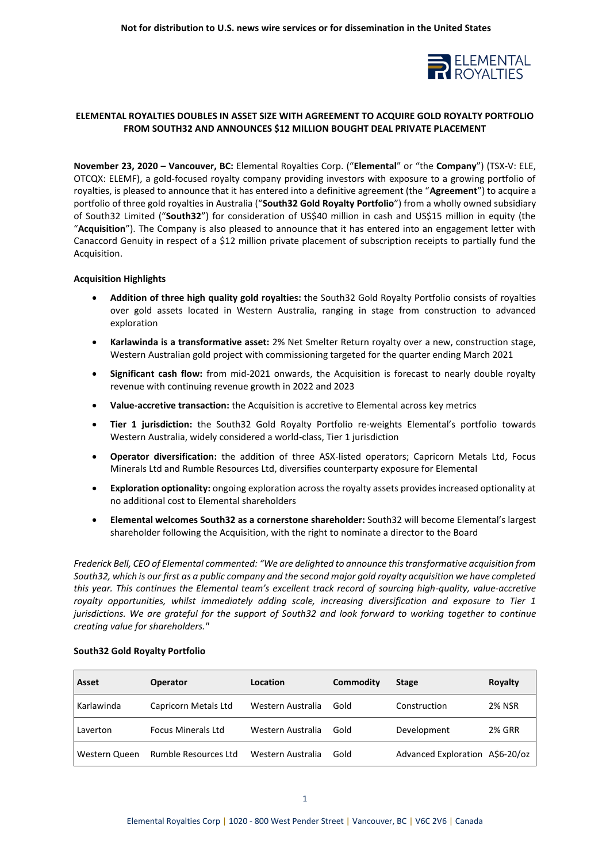

# **ELEMENTAL ROYALTIES DOUBLES IN ASSET SIZE WITH AGREEMENT TO ACQUIRE GOLD ROYALTY PORTFOLIO FROM SOUTH32 AND ANNOUNCES \$12 MILLION BOUGHT DEAL PRIVATE PLACEMENT**

**November 23, 2020 – Vancouver, BC:** Elemental Royalties Corp. ("**Elemental**" or "the **Company**") (TSX-V: ELE, OTCQX: ELEMF), a gold-focused royalty company providing investors with exposure to a growing portfolio of royalties, is pleased to announce that it has entered into a definitive agreement (the "**Agreement**") to acquire a portfolio of three gold royalties in Australia ("**South32 Gold Royalty Portfolio**") from a wholly owned subsidiary of South32 Limited ("**South32**") for consideration of US\$40 million in cash and US\$15 million in equity (the "**Acquisition**"). The Company is also pleased to announce that it has entered into an engagement letter with Canaccord Genuity in respect of a \$12 million private placement of subscription receipts to partially fund the Acquisition.

## **Acquisition Highlights**

- **Addition of three high quality gold royalties:** the South32 Gold Royalty Portfolio consists of royalties over gold assets located in Western Australia, ranging in stage from construction to advanced exploration
- **Karlawinda is a transformative asset:** 2% Net Smelter Return royalty over a new, construction stage, Western Australian gold project with commissioning targeted for the quarter ending March 2021
- **Significant cash flow:** from mid-2021 onwards, the Acquisition is forecast to nearly double royalty revenue with continuing revenue growth in 2022 and 2023
- **Value-accretive transaction:** the Acquisition is accretive to Elemental across key metrics
- **Tier 1 jurisdiction:** the South32 Gold Royalty Portfolio re-weights Elemental's portfolio towards Western Australia, widely considered a world-class, Tier 1 jurisdiction
- **Operator diversification:** the addition of three ASX-listed operators; Capricorn Metals Ltd, Focus Minerals Ltd and Rumble Resources Ltd, diversifies counterparty exposure for Elemental
- **Exploration optionality:** ongoing exploration across the royalty assets provides increased optionality at no additional cost to Elemental shareholders
- **Elemental welcomes South32 as a cornerstone shareholder:** South32 will become Elemental's largest shareholder following the Acquisition, with the right to nominate a director to the Board

*Frederick Bell, CEO of Elemental commented: "We are delighted to announce this transformative acquisition from South32, which is our first as a public company and the second major gold royalty acquisition we have completed this year. This continues the Elemental team's excellent track record of sourcing high-quality, value-accretive royalty opportunities, whilst immediately adding scale, increasing diversification and exposure to Tier 1 jurisdictions. We are grateful for the support of South32 and look forward to working together to continue creating value for shareholders."*

| Asset         | <b>Operator</b>             | Location          | Commodity | <b>Stage</b>                    | Royalty       |
|---------------|-----------------------------|-------------------|-----------|---------------------------------|---------------|
| Karlawinda    | Capricorn Metals Ltd        | Western Australia | Gold      | Construction                    | <b>2% NSR</b> |
| Laverton      | <b>Focus Minerals Ltd</b>   | Western Australia | Gold      | Development                     | <b>2% GRR</b> |
| Western Queen | <b>Rumble Resources Ltd</b> | Western Australia | Gold      | Advanced Exploration A\$6-20/oz |               |

# **South32 Gold Royalty Portfolio**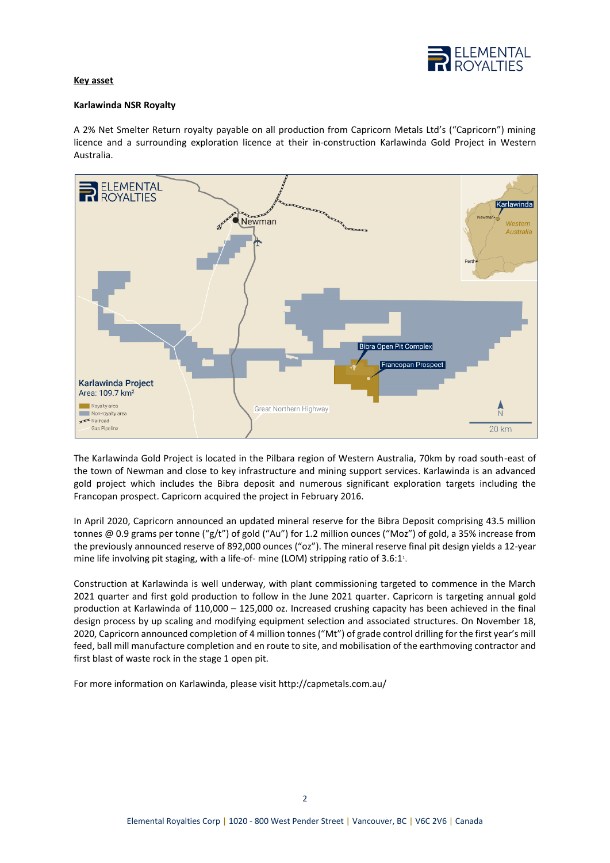

# **Key asset**

### **Karlawinda NSR Royalty**

A 2% Net Smelter Return royalty payable on all production from Capricorn Metals Ltd's ("Capricorn") mining licence and a surrounding exploration licence at their in-construction Karlawinda Gold Project in Western Australia.



The Karlawinda Gold Project is located in the Pilbara region of Western Australia, 70km by road south-east of the town of Newman and close to key infrastructure and mining support services. Karlawinda is an advanced gold project which includes the Bibra deposit and numerous significant exploration targets including the Francopan prospect. Capricorn acquired the project in February 2016.

In April 2020, Capricorn announced an updated mineral reserve for the Bibra Deposit comprising 43.5 million tonnes @ 0.9 grams per tonne ("g/t") of gold ("Au") for 1.2 million ounces ("Moz") of gold, a 35% increase from the previously announced reserve of 892,000 ounces ("oz"). The mineral reserve final pit design yields a 12-year mine life involving pit staging, with a life-of- mine (LOM) stripping ratio of 3.6:1<sup>1</sup>.

Construction at Karlawinda is well underway, with plant commissioning targeted to commence in the March 2021 quarter and first gold production to follow in the June 2021 quarter. Capricorn is targeting annual gold production at Karlawinda of 110,000 – 125,000 oz. Increased crushing capacity has been achieved in the final design process by up scaling and modifying equipment selection and associated structures. On November 18, 2020, Capricorn announced completion of 4 million tonnes ("Mt") of grade control drilling for the first year's mill feed, ball mill manufacture completion and en route to site, and mobilisation of the earthmoving contractor and first blast of waste rock in the stage 1 open pit.

For more information on Karlawinda, please visit http://capmetals.com.au/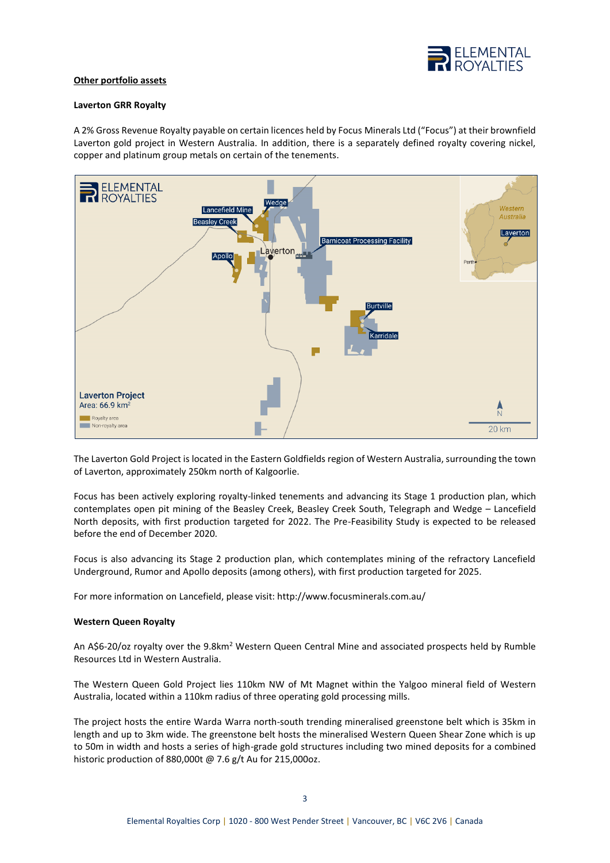

### **Other portfolio assets**

#### **Laverton GRR Royalty**

A 2% Gross Revenue Royalty payable on certain licences held by Focus Minerals Ltd ("Focus") at their brownfield Laverton gold project in Western Australia. In addition, there is a separately defined royalty covering nickel, copper and platinum group metals on certain of the tenements.



The Laverton Gold Project is located in the Eastern Goldfields region of Western Australia, surrounding the town of Laverton, approximately 250km north of Kalgoorlie.

Focus has been actively exploring royalty-linked tenements and advancing its Stage 1 production plan, which contemplates open pit mining of the Beasley Creek, Beasley Creek South, Telegraph and Wedge – Lancefield North deposits, with first production targeted for 2022. The Pre-Feasibility Study is expected to be released before the end of December 2020.

Focus is also advancing its Stage 2 production plan, which contemplates mining of the refractory Lancefield Underground, Rumor and Apollo deposits (among others), with first production targeted for 2025.

For more information on Lancefield, please visit: http://www.focusminerals.com.au/

#### **Western Queen Royalty**

An A\$6-20/oz royalty over the 9.8km<sup>2</sup> Western Queen Central Mine and associated prospects held by Rumble Resources Ltd in Western Australia.

The Western Queen Gold Project lies 110km NW of Mt Magnet within the Yalgoo mineral field of Western Australia, located within a 110km radius of three operating gold processing mills.

The project hosts the entire Warda Warra north-south trending mineralised greenstone belt which is 35km in length and up to 3km wide. The greenstone belt hosts the mineralised Western Queen Shear Zone which is up to 50m in width and hosts a series of high-grade gold structures including two mined deposits for a combined historic production of 880,000t @ 7.6 g/t Au for 215,000oz.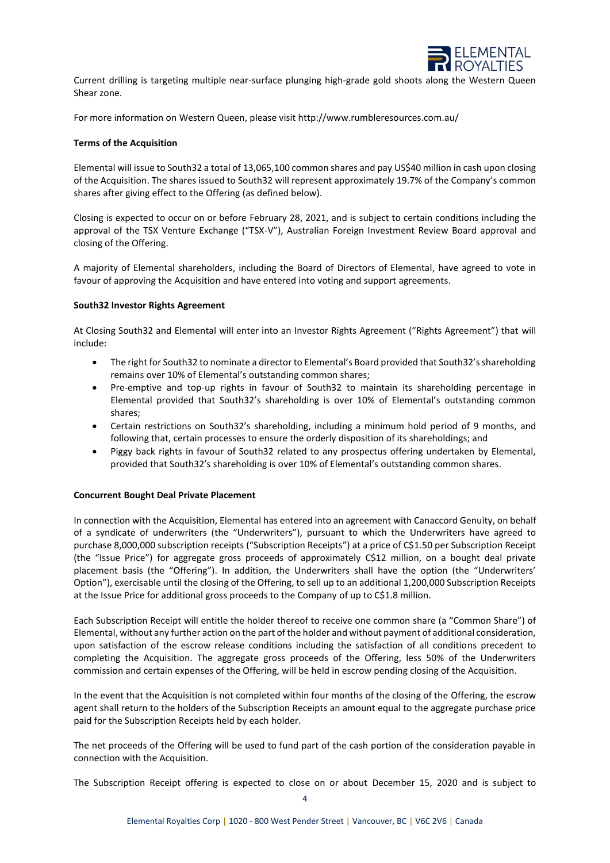

Current drilling is targeting multiple near-surface plunging high-grade gold shoots along the Western Queen Shear zone.

For more information on Western Queen, please visit http://www.rumbleresources.com.au/

### **Terms of the Acquisition**

Elemental will issue to South32 a total of 13,065,100 common shares and pay US\$40 million in cash upon closing of the Acquisition. The shares issued to South32 will represent approximately 19.7% of the Company's common shares after giving effect to the Offering (as defined below).

Closing is expected to occur on or before February 28, 2021, and is subject to certain conditions including the approval of the TSX Venture Exchange ("TSX-V"), Australian Foreign Investment Review Board approval and closing of the Offering.

A majority of Elemental shareholders, including the Board of Directors of Elemental, have agreed to vote in favour of approving the Acquisition and have entered into voting and support agreements.

#### **South32 Investor Rights Agreement**

At Closing South32 and Elemental will enter into an Investor Rights Agreement ("Rights Agreement") that will include:

- The right for South32 to nominate a director to Elemental's Board provided that South32's shareholding remains over 10% of Elemental's outstanding common shares;
- Pre-emptive and top-up rights in favour of South32 to maintain its shareholding percentage in Elemental provided that South32's shareholding is over 10% of Elemental's outstanding common shares;
- Certain restrictions on South32's shareholding, including a minimum hold period of 9 months, and following that, certain processes to ensure the orderly disposition of its shareholdings; and
- Piggy back rights in favour of South32 related to any prospectus offering undertaken by Elemental, provided that South32's shareholding is over 10% of Elemental's outstanding common shares.

#### **Concurrent Bought Deal Private Placement**

In connection with the Acquisition, Elemental has entered into an agreement with Canaccord Genuity, on behalf of a syndicate of underwriters (the "Underwriters"), pursuant to which the Underwriters have agreed to purchase 8,000,000 subscription receipts ("Subscription Receipts") at a price of C\$1.50 per Subscription Receipt (the "Issue Price") for aggregate gross proceeds of approximately C\$12 million, on a bought deal private placement basis (the "Offering"). In addition, the Underwriters shall have the option (the "Underwriters' Option"), exercisable until the closing of the Offering, to sell up to an additional 1,200,000 Subscription Receipts at the Issue Price for additional gross proceeds to the Company of up to C\$1.8 million.

Each Subscription Receipt will entitle the holder thereof to receive one common share (a "Common Share") of Elemental, without any further action on the part of the holder and without payment of additional consideration, upon satisfaction of the escrow release conditions including the satisfaction of all conditions precedent to completing the Acquisition. The aggregate gross proceeds of the Offering, less 50% of the Underwriters commission and certain expenses of the Offering, will be held in escrow pending closing of the Acquisition.

In the event that the Acquisition is not completed within four months of the closing of the Offering, the escrow agent shall return to the holders of the Subscription Receipts an amount equal to the aggregate purchase price paid for the Subscription Receipts held by each holder.

The net proceeds of the Offering will be used to fund part of the cash portion of the consideration payable in connection with the Acquisition.

The Subscription Receipt offering is expected to close on or about December 15, 2020 and is subject to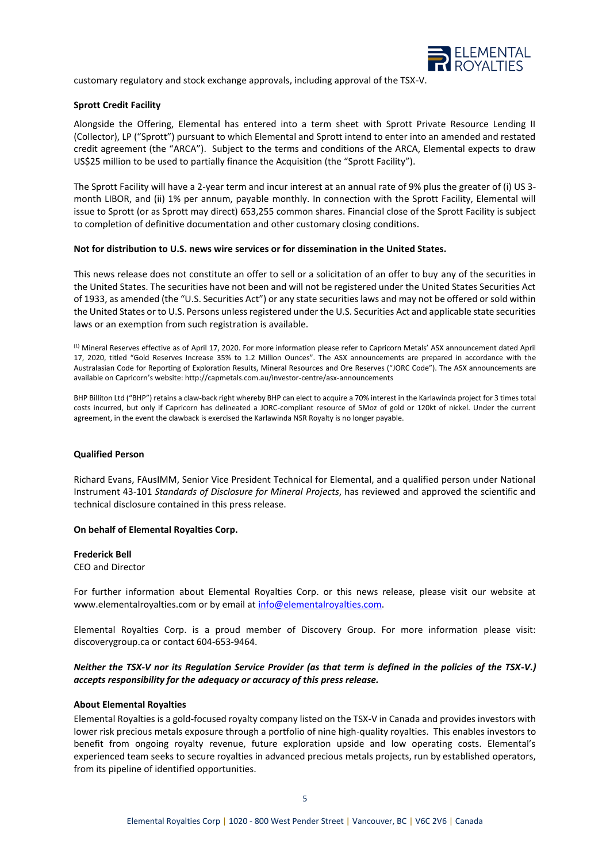

customary regulatory and stock exchange approvals, including approval of the TSX-V.

### **Sprott Credit Facility**

Alongside the Offering, Elemental has entered into a term sheet with Sprott Private Resource Lending II (Collector), LP ("Sprott") pursuant to which Elemental and Sprott intend to enter into an amended and restated credit agreement (the "ARCA"). Subject to the terms and conditions of the ARCA, Elemental expects to draw US\$25 million to be used to partially finance the Acquisition (the "Sprott Facility").

The Sprott Facility will have a 2-year term and incur interest at an annual rate of 9% plus the greater of (i) US 3 month LIBOR, and (ii) 1% per annum, payable monthly. In connection with the Sprott Facility, Elemental will issue to Sprott (or as Sprott may direct) 653,255 common shares. Financial close of the Sprott Facility is subject to completion of definitive documentation and other customary closing conditions.

#### **Not for distribution to U.S. news wire services or for dissemination in the United States.**

This news release does not constitute an offer to sell or a solicitation of an offer to buy any of the securities in the United States. The securities have not been and will not be registered under the United States Securities Act of 1933, as amended (the "U.S. Securities Act") or any state securities laws and may not be offered or sold within the United States or to U.S. Persons unless registered under the U.S. Securities Act and applicable state securities laws or an exemption from such registration is available.

(1) Mineral Reserves effective as of April 17, 2020. For more information please refer to Capricorn Metals' ASX announcement dated April 17, 2020, titled "Gold Reserves Increase 35% to 1.2 Million Ounces". The ASX announcements are prepared in accordance with the Australasian Code for Reporting of Exploration Results, Mineral Resources and Ore Reserves ("JORC Code"). The ASX announcements are available on Capricorn's website: http://capmetals.com.au/investor-centre/asx-announcements

BHP Billiton Ltd ("BHP") retains a claw-back right whereby BHP can elect to acquire a 70% interest in the Karlawinda project for 3 times total costs incurred, but only if Capricorn has delineated a JORC-compliant resource of 5Moz of gold or 120kt of nickel. Under the current agreement, in the event the clawback is exercised the Karlawinda NSR Royalty is no longer payable.

#### **Qualified Person**

Richard Evans, FAusIMM, Senior Vice President Technical for Elemental, and a qualified person under National Instrument 43-101 *Standards of Disclosure for Mineral Projects*, has reviewed and approved the scientific and technical disclosure contained in this press release.

#### **On behalf of Elemental Royalties Corp.**

#### **Frederick Bell**

CEO and Director

For further information about Elemental Royalties Corp. or this news release, please visit our website at www.elementalroyalties.com or by email at [info@elementalroyalties.com.](mailto:info@elementalroyalties.com)

Elemental Royalties Corp. is a proud member of Discovery Group. For more information please visit: discoverygroup.ca or contact 604-653-9464.

## *Neither the TSX-V nor its Regulation Service Provider (as that term is defined in the policies of the TSX-V.) accepts responsibility for the adequacy or accuracy of this press release.*

### **About Elemental Royalties**

Elemental Royalties is a gold-focused royalty company listed on the TSX-V in Canada and provides investors with lower risk precious metals exposure through a portfolio of nine high-quality royalties. This enables investors to benefit from ongoing royalty revenue, future exploration upside and low operating costs. Elemental's experienced team seeks to secure royalties in advanced precious metals projects, run by established operators, from its pipeline of identified opportunities.